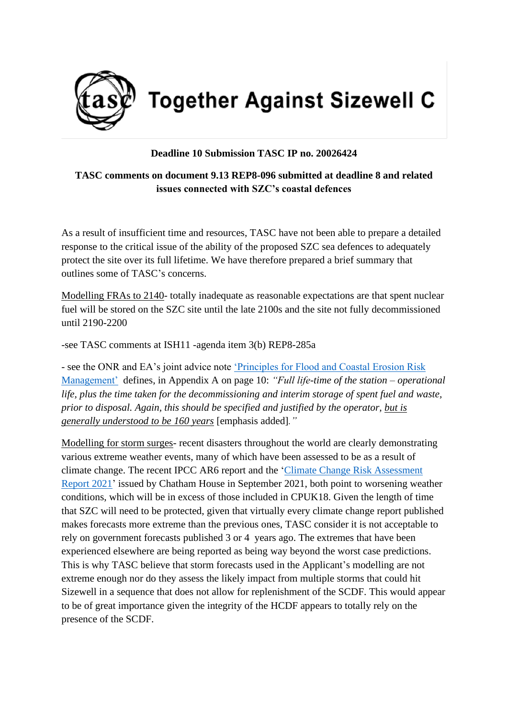

**Together Against Sizewell C** 

## **Deadline 10 Submission TASC IP no. 20026424**

## **TASC comments on document 9.13 REP8-096 submitted at deadline 8 and related issues connected with SZC's coastal defences**

As a result of insufficient time and resources, TASC have not been able to prepare a detailed response to the critical issue of the ability of the proposed SZC sea defences to adequately protect the site over its full lifetime. We have therefore prepared a brief summary that outlines some of TASC's concerns.

Modelling FRAs to 2140- totally inadequate as reasonable expectations are that spent nuclear fuel will be stored on the SZC site until the late 2100s and the site not fully decommissioned until 2190-2200

-see TASC comments at ISH11 -agenda item 3(b) REP8-285a

- see the ONR and EA's joint advice note ['Principles for Flood and Coastal Erosion Risk](https://d.docs.live.net/f3198c40699a574a/Documents/DCO%20Deadline%2010/D10%20Response%20to%20document%209.104%20re%20ISH11.docx)  [Management'](https://d.docs.live.net/f3198c40699a574a/Documents/DCO%20Deadline%2010/D10%20Response%20to%20document%209.104%20re%20ISH11.docx) defines, in Appendix A on page 10: *"Full life-time of the station – operational life, plus the time taken for the decommissioning and interim storage of spent fuel and waste, prior to disposal. Again, this should be specified and justified by the operator, but is generally understood to be 160 years* [emphasis added]*."*

Modelling for storm surges- recent disasters throughout the world are clearly demonstrating various extreme weather events, many of which have been assessed to be as a result of climate change. The recent IPCC AR6 report and the ['Climate Change Risk Assessment](https://d.docs.live.net/f3198c40699a574a/Documents/DCO%20Deadline%2010/D10%20response%20re%20SZC%20Coastal%20Defences.docx)  [Report 2021'](https://d.docs.live.net/f3198c40699a574a/Documents/DCO%20Deadline%2010/D10%20response%20re%20SZC%20Coastal%20Defences.docx) issued by Chatham House in September 2021, both point to worsening weather conditions, which will be in excess of those included in CPUK18. Given the length of time that SZC will need to be protected, given that virtually every climate change report published makes forecasts more extreme than the previous ones, TASC consider it is not acceptable to rely on government forecasts published 3 or 4 years ago. The extremes that have been experienced elsewhere are being reported as being way beyond the worst case predictions. This is why TASC believe that storm forecasts used in the Applicant's modelling are not extreme enough nor do they assess the likely impact from multiple storms that could hit Sizewell in a sequence that does not allow for replenishment of the SCDF. This would appear to be of great importance given the integrity of the HCDF appears to totally rely on the presence of the SCDF.